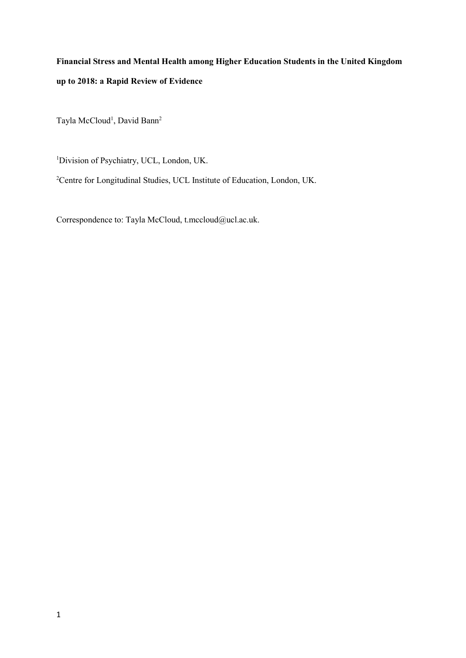# Financial Stress and Mental Health among Higher Education Students in the United Kingdom up to 2018: a Rapid Review of Evidence

Tayla McCloud<sup>1</sup>, David Bann<sup>2</sup>

<sup>1</sup>Division of Psychiatry, UCL, London, UK.

<sup>2</sup>Centre for Longitudinal Studies, UCL Institute of Education, London, UK.

Correspondence to: Tayla McCloud, t.mccloud@ucl.ac.uk.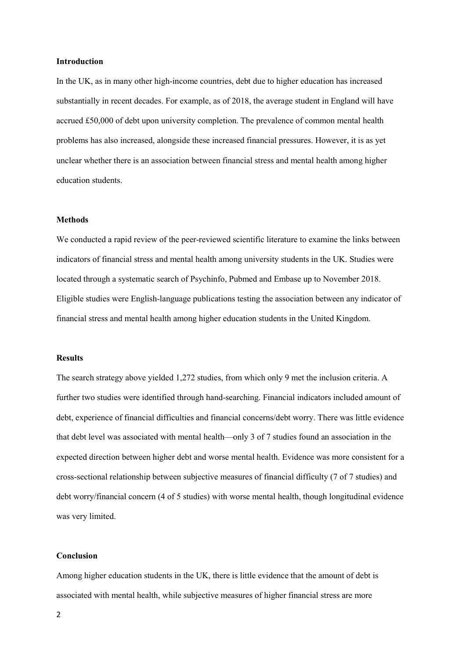#### Introduction

In the UK, as in many other high-income countries, debt due to higher education has increased substantially in recent decades. For example, as of 2018, the average student in England will have accrued £50,000 of debt upon university completion. The prevalence of common mental health problems has also increased, alongside these increased financial pressures. However, it is as yet unclear whether there is an association between financial stress and mental health among higher education students.

# **Methods**

We conducted a rapid review of the peer-reviewed scientific literature to examine the links between indicators of financial stress and mental health among university students in the UK. Studies were located through a systematic search of Psychinfo, Pubmed and Embase up to November 2018. Eligible studies were English-language publications testing the association between any indicator of financial stress and mental health among higher education students in the United Kingdom.

# Results

The search strategy above yielded 1,272 studies, from which only 9 met the inclusion criteria. A further two studies were identified through hand-searching. Financial indicators included amount of debt, experience of financial difficulties and financial concerns/debt worry. There was little evidence that debt level was associated with mental health—only 3 of 7 studies found an association in the expected direction between higher debt and worse mental health. Evidence was more consistent for a cross-sectional relationship between subjective measures of financial difficulty (7 of 7 studies) and debt worry/financial concern (4 of 5 studies) with worse mental health, though longitudinal evidence was very limited.

# Conclusion

Among higher education students in the UK, there is little evidence that the amount of debt is associated with mental health, while subjective measures of higher financial stress are more

2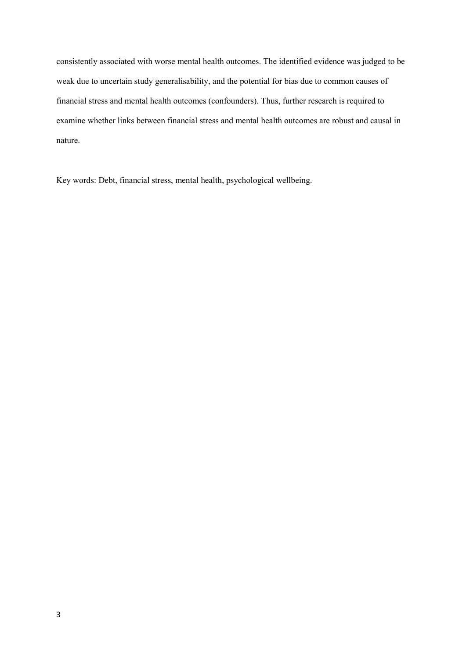consistently associated with worse mental health outcomes. The identified evidence was judged to be weak due to uncertain study generalisability, and the potential for bias due to common causes of financial stress and mental health outcomes (confounders). Thus, further research is required to examine whether links between financial stress and mental health outcomes are robust and causal in nature.

Key words: Debt, financial stress, mental health, psychological wellbeing.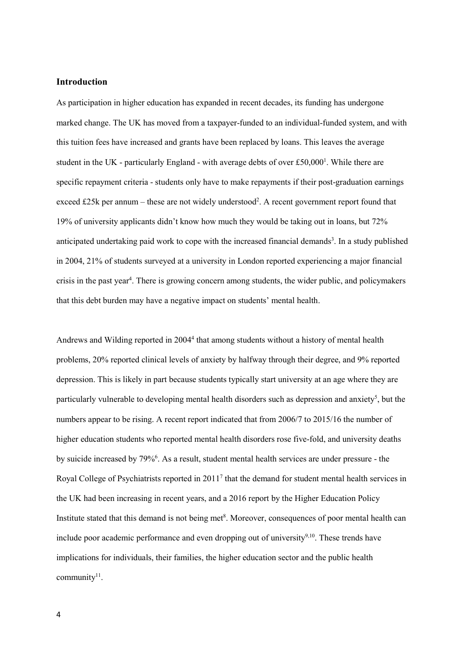# Introduction

As participation in higher education has expanded in recent decades, its funding has undergone marked change. The UK has moved from a taxpayer-funded to an individual-funded system, and with this tuition fees have increased and grants have been replaced by loans. This leaves the average student in the UK - particularly England - with average debts of over  $£50,000<sup>1</sup>$ . While there are specific repayment criteria - students only have to make repayments if their post-graduation earnings exceed £25k per annum – these are not widely understood<sup>2</sup>. A recent government report found that 19% of university applicants didn't know how much they would be taking out in loans, but 72% anticipated undertaking paid work to cope with the increased financial demands<sup>3</sup>. In a study published in 2004, 21% of students surveyed at a university in London reported experiencing a major financial crisis in the past year<sup>4</sup>. There is growing concern among students, the wider public, and policymakers that this debt burden may have a negative impact on students' mental health.

Andrews and Wilding reported in 2004<sup>4</sup> that among students without a history of mental health problems, 20% reported clinical levels of anxiety by halfway through their degree, and 9% reported depression. This is likely in part because students typically start university at an age where they are particularly vulnerable to developing mental health disorders such as depression and anxiety<sup>5</sup>, but the numbers appear to be rising. A recent report indicated that from 2006/7 to 2015/16 the number of higher education students who reported mental health disorders rose five-fold, and university deaths by suicide increased by 79%<sup>6</sup>. As a result, student mental health services are under pressure - the Royal College of Psychiatrists reported in  $2011<sup>7</sup>$  that the demand for student mental health services in the UK had been increasing in recent years, and a 2016 report by the Higher Education Policy Institute stated that this demand is not being met<sup>8</sup>. Moreover, consequences of poor mental health can include poor academic performance and even dropping out of university<sup>9,10</sup>. These trends have implications for individuals, their families, the higher education sector and the public health community<sup>11</sup>.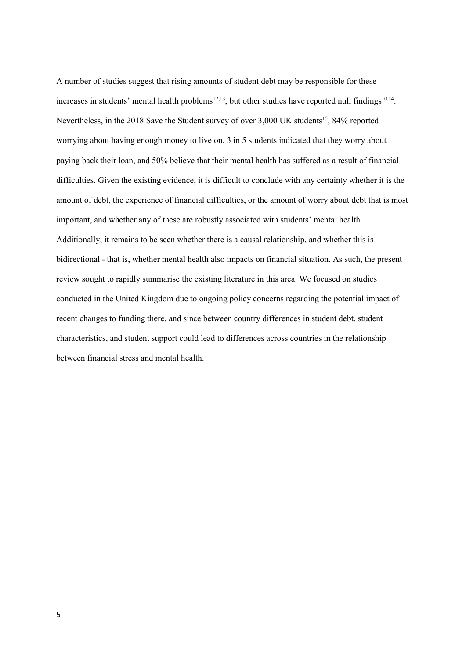A number of studies suggest that rising amounts of student debt may be responsible for these increases in students' mental health problems<sup>12,13</sup>, but other studies have reported null findings<sup>10,14</sup>. Nevertheless, in the 2018 Save the Student survey of over 3,000 UK students<sup>15</sup>, 84% reported worrying about having enough money to live on, 3 in 5 students indicated that they worry about paying back their loan, and 50% believe that their mental health has suffered as a result of financial difficulties. Given the existing evidence, it is difficult to conclude with any certainty whether it is the amount of debt, the experience of financial difficulties, or the amount of worry about debt that is most important, and whether any of these are robustly associated with students' mental health. Additionally, it remains to be seen whether there is a causal relationship, and whether this is bidirectional - that is, whether mental health also impacts on financial situation. As such, the present review sought to rapidly summarise the existing literature in this area. We focused on studies conducted in the United Kingdom due to ongoing policy concerns regarding the potential impact of recent changes to funding there, and since between country differences in student debt, student characteristics, and student support could lead to differences across countries in the relationship between financial stress and mental health.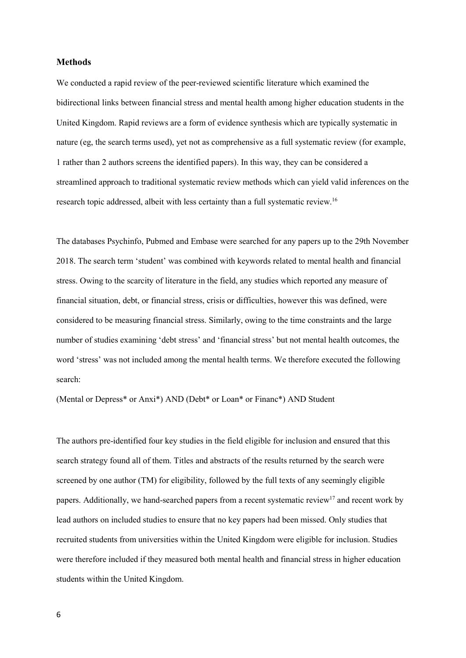# Methods

We conducted a rapid review of the peer-reviewed scientific literature which examined the bidirectional links between financial stress and mental health among higher education students in the United Kingdom. Rapid reviews are a form of evidence synthesis which are typically systematic in nature (eg, the search terms used), yet not as comprehensive as a full systematic review (for example, 1 rather than 2 authors screens the identified papers). In this way, they can be considered a streamlined approach to traditional systematic review methods which can yield valid inferences on the research topic addressed, albeit with less certainty than a full systematic review.<sup>16</sup>

The databases Psychinfo, Pubmed and Embase were searched for any papers up to the 29th November 2018. The search term 'student' was combined with keywords related to mental health and financial stress. Owing to the scarcity of literature in the field, any studies which reported any measure of financial situation, debt, or financial stress, crisis or difficulties, however this was defined, were considered to be measuring financial stress. Similarly, owing to the time constraints and the large number of studies examining 'debt stress' and 'financial stress' but not mental health outcomes, the word 'stress' was not included among the mental health terms. We therefore executed the following search:

(Mental or Depress\* or Anxi\*) AND (Debt\* or Loan\* or Financ\*) AND Student

The authors pre-identified four key studies in the field eligible for inclusion and ensured that this search strategy found all of them. Titles and abstracts of the results returned by the search were screened by one author (TM) for eligibility, followed by the full texts of any seemingly eligible papers. Additionally, we hand-searched papers from a recent systematic review<sup>17</sup> and recent work by lead authors on included studies to ensure that no key papers had been missed. Only studies that recruited students from universities within the United Kingdom were eligible for inclusion. Studies were therefore included if they measured both mental health and financial stress in higher education students within the United Kingdom.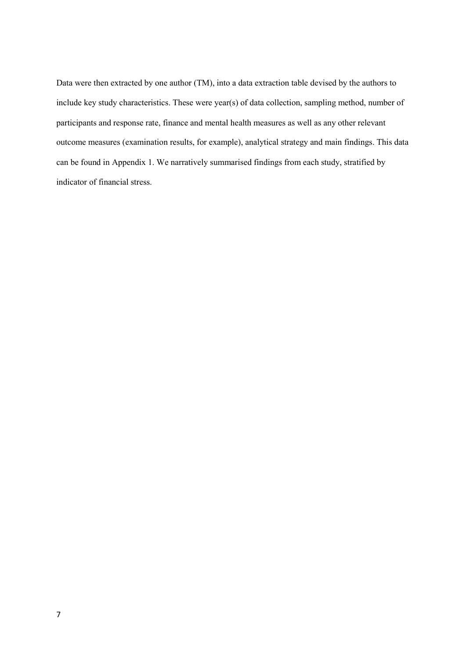Data were then extracted by one author (TM), into a data extraction table devised by the authors to include key study characteristics. These were year(s) of data collection, sampling method, number of participants and response rate, finance and mental health measures as well as any other relevant outcome measures (examination results, for example), analytical strategy and main findings. This data can be found in Appendix 1. We narratively summarised findings from each study, stratified by indicator of financial stress.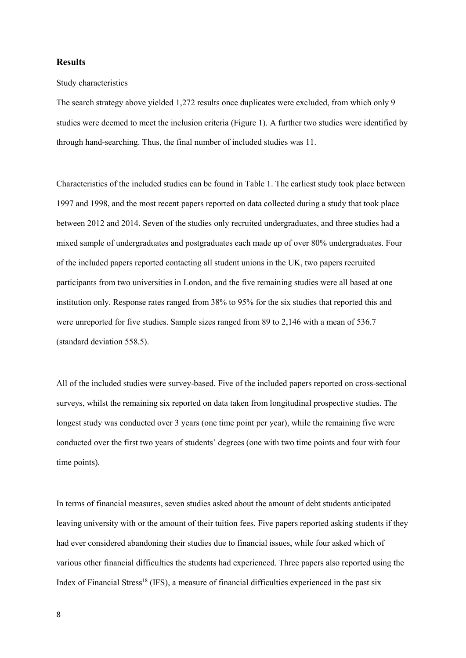# **Results**

#### Study characteristics

The search strategy above yielded 1,272 results once duplicates were excluded, from which only 9 studies were deemed to meet the inclusion criteria (Figure 1). A further two studies were identified by through hand-searching. Thus, the final number of included studies was 11.

Characteristics of the included studies can be found in Table 1. The earliest study took place between 1997 and 1998, and the most recent papers reported on data collected during a study that took place between 2012 and 2014. Seven of the studies only recruited undergraduates, and three studies had a mixed sample of undergraduates and postgraduates each made up of over 80% undergraduates. Four of the included papers reported contacting all student unions in the UK, two papers recruited participants from two universities in London, and the five remaining studies were all based at one institution only. Response rates ranged from 38% to 95% for the six studies that reported this and were unreported for five studies. Sample sizes ranged from 89 to 2,146 with a mean of 536.7 (standard deviation 558.5).

All of the included studies were survey-based. Five of the included papers reported on cross-sectional surveys, whilst the remaining six reported on data taken from longitudinal prospective studies. The longest study was conducted over 3 years (one time point per year), while the remaining five were conducted over the first two years of students' degrees (one with two time points and four with four time points).

In terms of financial measures, seven studies asked about the amount of debt students anticipated leaving university with or the amount of their tuition fees. Five papers reported asking students if they had ever considered abandoning their studies due to financial issues, while four asked which of various other financial difficulties the students had experienced. Three papers also reported using the Index of Financial Stress<sup>18</sup> (IFS), a measure of financial difficulties experienced in the past six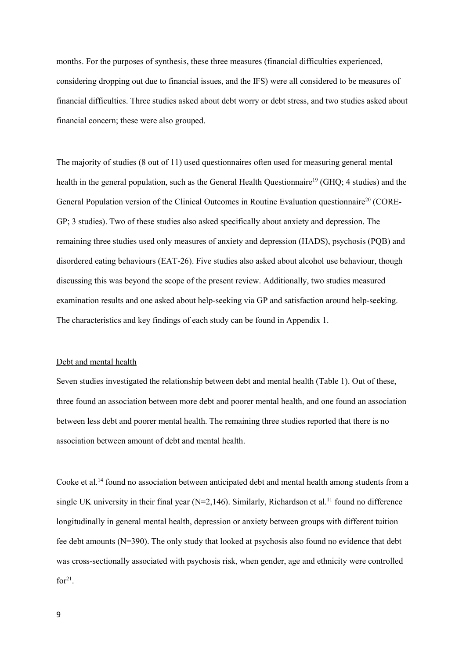months. For the purposes of synthesis, these three measures (financial difficulties experienced, considering dropping out due to financial issues, and the IFS) were all considered to be measures of financial difficulties. Three studies asked about debt worry or debt stress, and two studies asked about financial concern; these were also grouped.

The majority of studies (8 out of 11) used questionnaires often used for measuring general mental health in the general population, such as the General Health Ouestionnaire<sup>19</sup> (GHO; 4 studies) and the General Population version of the Clinical Outcomes in Routine Evaluation questionnaire<sup>20</sup> (CORE-GP; 3 studies). Two of these studies also asked specifically about anxiety and depression. The remaining three studies used only measures of anxiety and depression (HADS), psychosis (PQB) and disordered eating behaviours (EAT-26). Five studies also asked about alcohol use behaviour, though discussing this was beyond the scope of the present review. Additionally, two studies measured examination results and one asked about help-seeking via GP and satisfaction around help-seeking. The characteristics and key findings of each study can be found in Appendix 1.

#### Debt and mental health

Seven studies investigated the relationship between debt and mental health (Table 1). Out of these, three found an association between more debt and poorer mental health, and one found an association between less debt and poorer mental health. The remaining three studies reported that there is no association between amount of debt and mental health.

Cooke et al.<sup>14</sup> found no association between anticipated debt and mental health among students from a single UK university in their final year ( $N=2,146$ ). Similarly, Richardson et al.<sup>11</sup> found no difference longitudinally in general mental health, depression or anxiety between groups with different tuition fee debt amounts (N=390). The only study that looked at psychosis also found no evidence that debt was cross-sectionally associated with psychosis risk, when gender, age and ethnicity were controlled  $for<sup>21</sup>$ .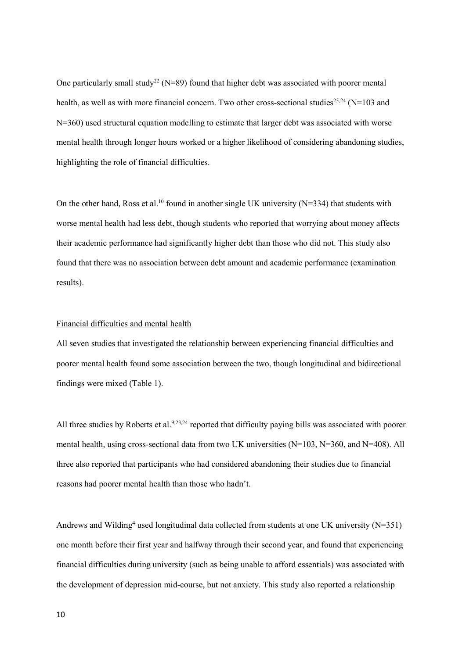One particularly small study<sup>22</sup> (N=89) found that higher debt was associated with poorer mental health, as well as with more financial concern. Two other cross-sectional studies<sup>23,24</sup> (N=103 and N=360) used structural equation modelling to estimate that larger debt was associated with worse mental health through longer hours worked or a higher likelihood of considering abandoning studies, highlighting the role of financial difficulties.

On the other hand, Ross et al.<sup>10</sup> found in another single UK university ( $N=334$ ) that students with worse mental health had less debt, though students who reported that worrying about money affects their academic performance had significantly higher debt than those who did not. This study also found that there was no association between debt amount and academic performance (examination results).

## Financial difficulties and mental health

All seven studies that investigated the relationship between experiencing financial difficulties and poorer mental health found some association between the two, though longitudinal and bidirectional findings were mixed (Table 1).

All three studies by Roberts et al.<sup>9,23,24</sup> reported that difficulty paying bills was associated with poorer mental health, using cross-sectional data from two UK universities (N=103, N=360, and N=408). All three also reported that participants who had considered abandoning their studies due to financial reasons had poorer mental health than those who hadn't.

Andrews and Wilding<sup>4</sup> used longitudinal data collected from students at one UK university (N=351) one month before their first year and halfway through their second year, and found that experiencing financial difficulties during university (such as being unable to afford essentials) was associated with the development of depression mid-course, but not anxiety. This study also reported a relationship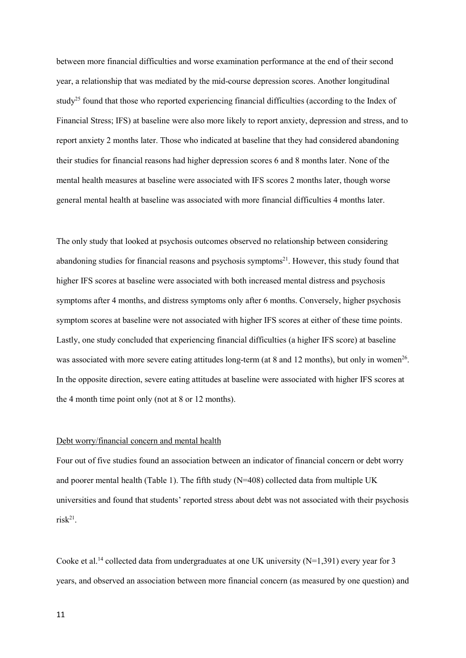between more financial difficulties and worse examination performance at the end of their second year, a relationship that was mediated by the mid-course depression scores. Another longitudinal study<sup>25</sup> found that those who reported experiencing financial difficulties (according to the Index of Financial Stress; IFS) at baseline were also more likely to report anxiety, depression and stress, and to report anxiety 2 months later. Those who indicated at baseline that they had considered abandoning their studies for financial reasons had higher depression scores 6 and 8 months later. None of the mental health measures at baseline were associated with IFS scores 2 months later, though worse general mental health at baseline was associated with more financial difficulties 4 months later.

The only study that looked at psychosis outcomes observed no relationship between considering abandoning studies for financial reasons and psychosis symptoms<sup>21</sup>. However, this study found that higher IFS scores at baseline were associated with both increased mental distress and psychosis symptoms after 4 months, and distress symptoms only after 6 months. Conversely, higher psychosis symptom scores at baseline were not associated with higher IFS scores at either of these time points. Lastly, one study concluded that experiencing financial difficulties (a higher IFS score) at baseline was associated with more severe eating attitudes long-term (at  $8$  and  $12$  months), but only in women<sup>26</sup>. In the opposite direction, severe eating attitudes at baseline were associated with higher IFS scores at the 4 month time point only (not at 8 or 12 months).

# Debt worry/financial concern and mental health

Four out of five studies found an association between an indicator of financial concern or debt worry and poorer mental health (Table 1). The fifth study (N=408) collected data from multiple UK universities and found that students' reported stress about debt was not associated with their psychosis  $risk^{21}$ .

Cooke et al.<sup>14</sup> collected data from undergraduates at one UK university ( $N=1,391$ ) every year for 3 years, and observed an association between more financial concern (as measured by one question) and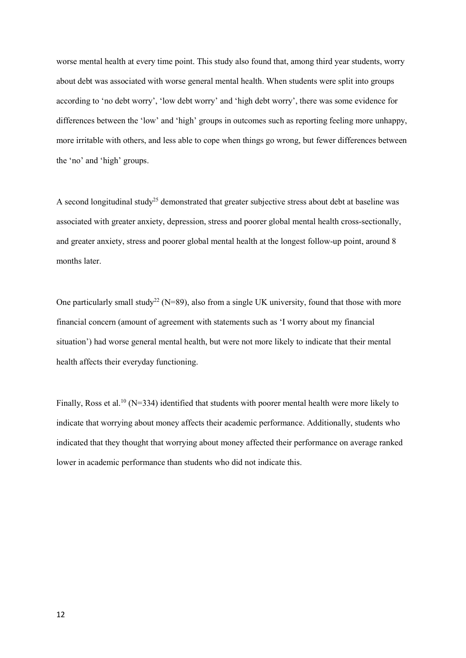worse mental health at every time point. This study also found that, among third year students, worry about debt was associated with worse general mental health. When students were split into groups according to 'no debt worry', 'low debt worry' and 'high debt worry', there was some evidence for differences between the 'low' and 'high' groups in outcomes such as reporting feeling more unhappy, more irritable with others, and less able to cope when things go wrong, but fewer differences between the 'no' and 'high' groups.

A second longitudinal study<sup>25</sup> demonstrated that greater subjective stress about debt at baseline was associated with greater anxiety, depression, stress and poorer global mental health cross-sectionally, and greater anxiety, stress and poorer global mental health at the longest follow-up point, around 8 months later.

One particularly small study<sup>22</sup> (N=89), also from a single UK university, found that those with more financial concern (amount of agreement with statements such as 'I worry about my financial situation') had worse general mental health, but were not more likely to indicate that their mental health affects their everyday functioning.

Finally, Ross et al.<sup>10</sup> (N=334) identified that students with poorer mental health were more likely to indicate that worrying about money affects their academic performance. Additionally, students who indicated that they thought that worrying about money affected their performance on average ranked lower in academic performance than students who did not indicate this.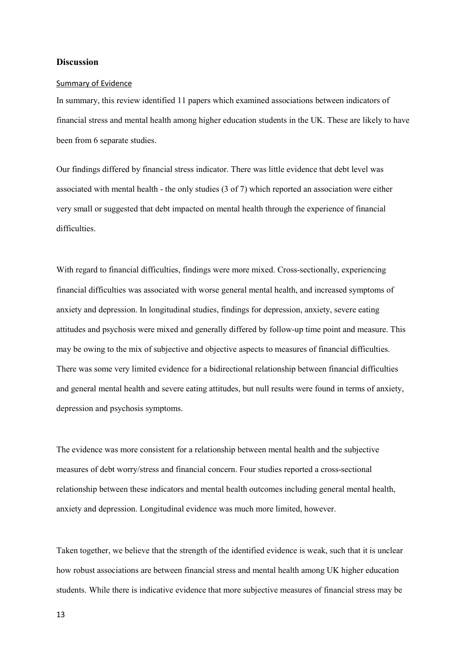# **Discussion**

#### Summary of Evidence

In summary, this review identified 11 papers which examined associations between indicators of financial stress and mental health among higher education students in the UK. These are likely to have been from 6 separate studies.

Our findings differed by financial stress indicator. There was little evidence that debt level was associated with mental health - the only studies (3 of 7) which reported an association were either very small or suggested that debt impacted on mental health through the experience of financial difficulties.

With regard to financial difficulties, findings were more mixed. Cross-sectionally, experiencing financial difficulties was associated with worse general mental health, and increased symptoms of anxiety and depression. In longitudinal studies, findings for depression, anxiety, severe eating attitudes and psychosis were mixed and generally differed by follow-up time point and measure. This may be owing to the mix of subjective and objective aspects to measures of financial difficulties. There was some very limited evidence for a bidirectional relationship between financial difficulties and general mental health and severe eating attitudes, but null results were found in terms of anxiety, depression and psychosis symptoms.

The evidence was more consistent for a relationship between mental health and the subjective measures of debt worry/stress and financial concern. Four studies reported a cross-sectional relationship between these indicators and mental health outcomes including general mental health, anxiety and depression. Longitudinal evidence was much more limited, however.

Taken together, we believe that the strength of the identified evidence is weak, such that it is unclear how robust associations are between financial stress and mental health among UK higher education students. While there is indicative evidence that more subjective measures of financial stress may be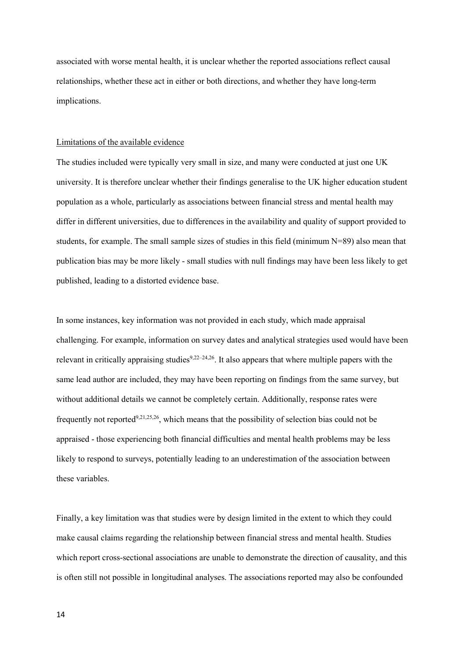associated with worse mental health, it is unclear whether the reported associations reflect causal relationships, whether these act in either or both directions, and whether they have long-term implications.

# Limitations of the available evidence

The studies included were typically very small in size, and many were conducted at just one UK university. It is therefore unclear whether their findings generalise to the UK higher education student population as a whole, particularly as associations between financial stress and mental health may differ in different universities, due to differences in the availability and quality of support provided to students, for example. The small sample sizes of studies in this field (minimum N=89) also mean that publication bias may be more likely - small studies with null findings may have been less likely to get published, leading to a distorted evidence base.

In some instances, key information was not provided in each study, which made appraisal challenging. For example, information on survey dates and analytical strategies used would have been relevant in critically appraising studies $9,22-24,26$ . It also appears that where multiple papers with the same lead author are included, they may have been reporting on findings from the same survey, but without additional details we cannot be completely certain. Additionally, response rates were frequently not reported<sup>9,21,25,26</sup>, which means that the possibility of selection bias could not be appraised - those experiencing both financial difficulties and mental health problems may be less likely to respond to surveys, potentially leading to an underestimation of the association between these variables.

Finally, a key limitation was that studies were by design limited in the extent to which they could make causal claims regarding the relationship between financial stress and mental health. Studies which report cross-sectional associations are unable to demonstrate the direction of causality, and this is often still not possible in longitudinal analyses. The associations reported may also be confounded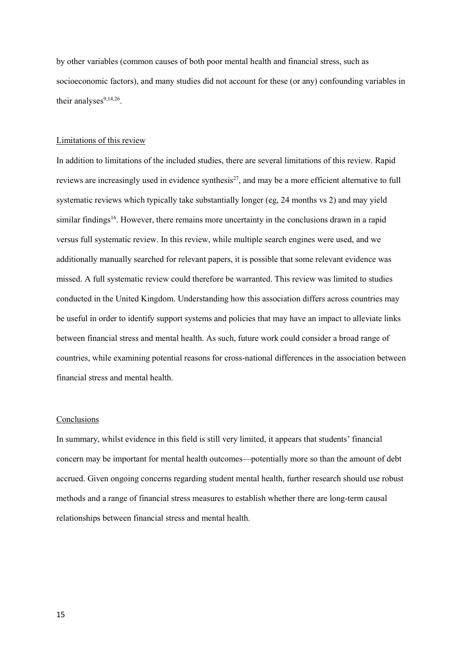by other variables (common causes of both poor mental health and financial stress, such as socioeconomic factors), and many studies did not account for these (or any) confounding variables in their analyses $9,14,26$ .

## Limitations of this review

In addition to limitations of the included studies, there are several limitations of this review. Rapid reviews are increasingly used in evidence synthesis<sup>27</sup>, and may be a more efficient alternative to full systematic reviews which typically take substantially longer (eg, 24 months vs 2) and may yield similar findings<sup>16</sup>. However, there remains more uncertainty in the conclusions drawn in a rapid versus full systematic review. In this review, while multiple search engines were used, and we additionally manually searched for relevant papers, it is possible that some relevant evidence was missed. A full systematic review could therefore be warranted. This review was limited to studies conducted in the United Kingdom. Understanding how this association differs across countries may be useful in order to identify support systems and policies that may have an impact to alleviate links between financial stress and mental health. As such, future work could consider a broad range of countries, while examining potential reasons for cross-national differences in the association between financial stress and mental health.

#### **Conclusions**

In summary, whilst evidence in this field is still very limited, it appears that students' financial concern may be important for mental health outcomes—potentially more so than the amount of debt accrued. Given ongoing concerns regarding student mental health, further research should use robust methods and a range of financial stress measures to establish whether there are long-term causal relationships between financial stress and mental health.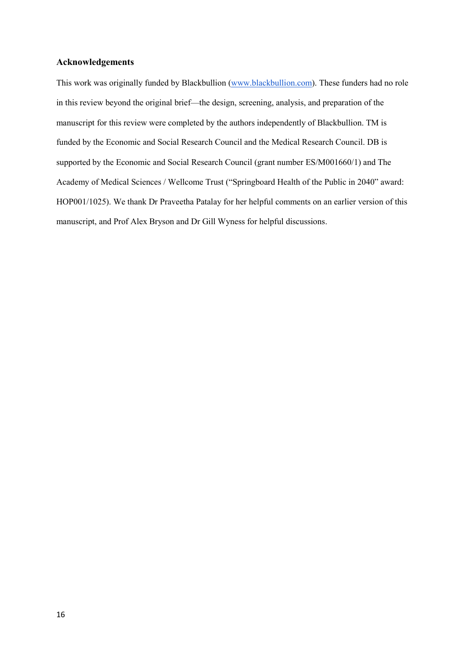# Acknowledgements

This work was originally funded by Blackbullion (www.blackbullion.com). These funders had no role in this review beyond the original brief—the design, screening, analysis, and preparation of the manuscript for this review were completed by the authors independently of Blackbullion. TM is funded by the Economic and Social Research Council and the Medical Research Council. DB is supported by the Economic and Social Research Council (grant number ES/M001660/1) and The Academy of Medical Sciences / Wellcome Trust ("Springboard Health of the Public in 2040" award: HOP001/1025). We thank Dr Praveetha Patalay for her helpful comments on an earlier version of this manuscript, and Prof Alex Bryson and Dr Gill Wyness for helpful discussions.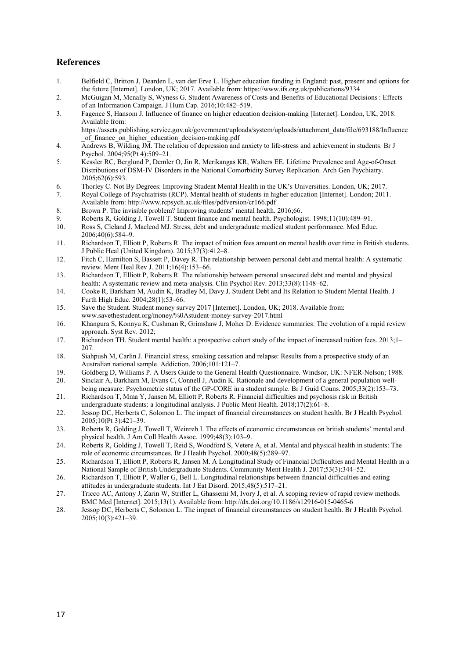# References

- 1. Belfield C, Britton J, Dearden L, van der Erve L. Higher education funding in England: past, present and options for the future [Internet]. London, UK; 2017. Available from: https://www.ifs.org.uk/publications/9334
- 2. McGuigan M, Mcnally S, Wyness G. Student Awareness of Costs and Benefits of Educational Decisions : Effects of an Information Campaign. J Hum Cap. 2016;10:482–519.
- 3. Fagence S, Hansom J. Influence of finance on higher education decision-making [Internet]. London, UK; 2018. Available from:

https://assets.publishing.service.gov.uk/government/uploads/system/uploads/attachment\_data/file/693188/Influence of finance on higher education decision-making.pdf

- 4. Andrews B, Wilding JM. The relation of depression and anxiety to life-stress and achievement in students. Br J Psychol. 2004;95(Pt 4):509–21.
- 5. Kessler RC, Berglund P, Demler O, Jin R, Merikangas KR, Walters EE. Lifetime Prevalence and Age-of-Onset Distributions of DSM-IV Disorders in the National Comorbidity Survey Replication. Arch Gen Psychiatry. 2005;62(6):593.
- 6. Thorley C. Not By Degrees: Improving Student Mental Health in the UK's Universities. London, UK; 2017.
- 7. Royal College of Psychiatrists (RCP). Mental health of students in higher education [Internet]. London; 2011. Available from: http://www.rcpsych.ac.uk/files/pdfversion/cr166.pdf
- 8. Brown P. The invisible problem? Improving students' mental health. 2016;66.
- 9. Roberts R, Golding J, Towell T. Student finance and mental health. Psychologist. 1998;11(10):489–91.<br>10. Ross S, Cleland J, Macleod MJ. Stress, debt and undergraduate medical student performance. Med Educ
- 10. Ross S, Cleland J, Macleod MJ. Stress, debt and undergraduate medical student performance. Med Educ. 2006;40(6):584–9.
- 11. Richardson T, Elliott P, Roberts R. The impact of tuition fees amount on mental health over time in British students. J Public Heal (United Kingdom). 2015;37(3):412–8.
- 12. Fitch C, Hamilton S, Bassett P, Davey R. The relationship between personal debt and mental health: A systematic review. Ment Heal Rev J. 2011;16(4):153–66.
- 13. Richardson T, Elliott P, Roberts R. The relationship between personal unsecured debt and mental and physical health: A systematic review and meta-analysis. Clin Psychol Rev. 2013;33(8):1148–62.
- 14. Cooke R, Barkham M, Audin K, Bradley M, Davy J. Student Debt and Its Relation to Student Mental Health. J Furth High Educ. 2004;28(1):53–66.
- 15. Save the Student. Student money survey 2017 [Internet]. London, UK; 2018. Available from: www.savethestudent.org/money/%0Astudent-money-survey-2017.html
- 16. Khangura S, Konnyu K, Cushman R, Grimshaw J, Moher D. Evidence summaries: The evolution of a rapid review approach. Syst Rev. 2012;
- 17. Richardson TH. Student mental health: a prospective cohort study of the impact of increased tuition fees. 2013;1– 207.
- 18. Siahpush M, Carlin J. Financial stress, smoking cessation and relapse: Results from a prospective study of an Australian national sample. Addiction. 2006;101:121–7.
- 19. Goldberg D, Williams P. A Users Guide to the General Health Questionnaire. Windsor, UK: NFER-Nelson; 1988.
- 20. Sinclair A, Barkham M, Evans C, Connell J, Audin K. Rationale and development of a general population wellbeing measure: Psychometric status of the GP-CORE in a student sample. Br J Guid Couns. 2005;33(2):153–73.
- 21. Richardson T, Mma Y, Jansen M, Elliott P, Roberts R. Financial difficulties and psychosis risk in British undergraduate students: a longitudinal analysis. J Public Ment Health. 2018;17(2):61–8.
- 22. Jessop DC, Herberts C, Solomon L. The impact of financial circumstances on student health. Br J Health Psychol. 2005;10(Pt 3):421–39.
- 23. Roberts R, Golding J, Towell T, Weinreb I. The effects of economic circumstances on british students' mental and physical health. J Am Coll Health Assoc. 1999;48(3):103–9.
- 24. Roberts R, Golding J, Towell T, Reid S, Woodford S, Vetere A, et al. Mental and physical health in students: The role of economic circumstances. Br J Health Psychol. 2000;48(5):289–97.
- 25. Richardson T, Elliott P, Roberts R, Jansen M. A Longitudinal Study of Financial Difficulties and Mental Health in a National Sample of British Undergraduate Students. Community Ment Health J. 2017;53(3):344–52.
- 26. Richardson T, Elliott P, Waller G, Bell L. Longitudinal relationships between financial difficulties and eating attitudes in undergraduate students. Int J Eat Disord. 2015;48(5):517–21.
- 27. Tricco AC, Antony J, Zarin W, Strifler L, Ghassemi M, Ivory J, et al. A scoping review of rapid review methods. BMC Med [Internet]. 2015;13(1). Available from: http://dx.doi.org/10.1186/s12916-015-0465-6
- 28. Jessop DC, Herberts C, Solomon L. The impact of financial circumstances on student health. Br J Health Psychol.  $2005;10(3):421-39.$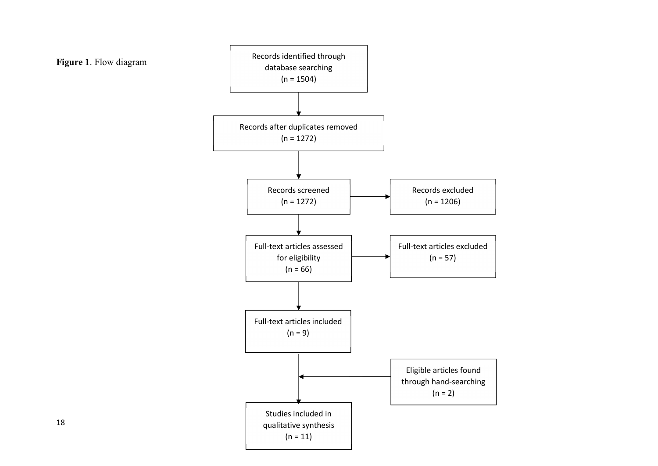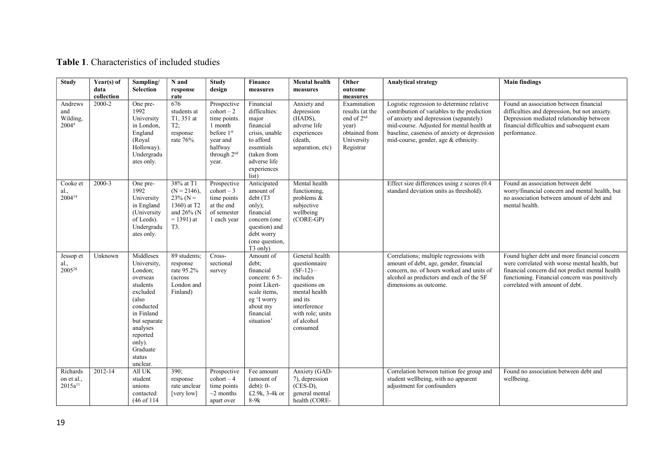# Table 1. Characteristics of included studies

| <b>Study</b>                                    | Year(s) of<br>data | Sampling/<br>Selection                                                                                                                                                                          | N and<br>response                                                                               | <b>Study</b><br>design                                                                                                                             | Finance<br>measures                                                                                                                                  | <b>Mental health</b><br>measures                                                                                                                                     | Other<br>outcome                                                                                              | <b>Analytical strategy</b>                                                                                                                                                                                                                                             | <b>Main findings</b>                                                                                                                                                                                                                 |
|-------------------------------------------------|--------------------|-------------------------------------------------------------------------------------------------------------------------------------------------------------------------------------------------|-------------------------------------------------------------------------------------------------|----------------------------------------------------------------------------------------------------------------------------------------------------|------------------------------------------------------------------------------------------------------------------------------------------------------|----------------------------------------------------------------------------------------------------------------------------------------------------------------------|---------------------------------------------------------------------------------------------------------------|------------------------------------------------------------------------------------------------------------------------------------------------------------------------------------------------------------------------------------------------------------------------|--------------------------------------------------------------------------------------------------------------------------------------------------------------------------------------------------------------------------------------|
|                                                 | collection         |                                                                                                                                                                                                 | rate                                                                                            |                                                                                                                                                    |                                                                                                                                                      |                                                                                                                                                                      | measures                                                                                                      |                                                                                                                                                                                                                                                                        |                                                                                                                                                                                                                                      |
| Andrews<br>and<br>Wilding,<br>2004 <sup>4</sup> | 2000-2             | One pre-<br>1992<br>University<br>in London,<br>England<br>(Royal<br>Holloway).<br>Undergradu<br>ates only.                                                                                     | 676<br>students at<br>T1, 351 at<br>T2;<br>response<br>rate 76%                                 | Prospective<br>$\text{cohort} - 2$<br>time points.<br>1 month<br>before 1 <sup>st</sup><br>year and<br>halfway<br>through 2 <sup>nd</sup><br>year. | Financial<br>difficulties:<br>major<br>financial<br>crisis, unable<br>to afford<br>essentials<br>(taken from<br>adverse life<br>experiences<br>list) | Anxiety and<br>depression<br>(HADS),<br>adverse life<br>experiences<br>(death,<br>separation, etc)                                                                   | Examination<br>results (at the<br>end of 2 <sup>nd</sup><br>year)<br>obtained from<br>University<br>Registrar | Logistic regression to determine relative<br>contribution of variables to the prediction<br>of anxiety and depression (separately)<br>mid-course. Adjusted for mental health at<br>baseline, caseness of anxiety or depression<br>mid-course, gender, age & ethnicity. | Found an association between financial<br>difficulties and depression, but not anxiety.<br>Depression mediated relationship between<br>financial difficulties and subsequent exam<br>performance.                                    |
| Cooke et<br>al., $2004^{14}$                    | 2000-3             | One pre-<br>1992<br>University<br>in England<br>(University<br>of Leeds).<br>Undergradu<br>ates only.                                                                                           | 38% at T1<br>$(N = 2146)$ ,<br>$23\%$ (N =<br>1360) at T2<br>and 26% (N<br>$= 1391$ ) at<br>T3. | Prospective<br>$\text{cohort} - 3$<br>time points<br>at the end<br>of semester<br>1 each year                                                      | Anticipated<br>amount of<br>debt (T3<br>only);<br>financial<br>concern (one<br>question) and<br>debt worry<br>(one question,<br>T <sub>3</sub> only) | Mental health<br>functioning,<br>problems &<br>subjective<br>wellbeing<br>$(CORE-GP)$                                                                                |                                                                                                               | Effect size differences using z scores (0.4)<br>standard deviation units as threshold).                                                                                                                                                                                | Found an association between debt<br>worry/financial concern and mental health, but<br>no association between amount of debt and<br>mental health.                                                                                   |
| Jessop et<br>al., $2005^{28}$                   | Unknown            | Middlesex<br>University,<br>London;<br>overseas<br>students<br>excluded<br>(also<br>conducted<br>in Finland<br>but separate<br>analyses<br>reported<br>only).<br>Graduate<br>status<br>unclear. | 89 students;<br>response<br>rate 95.2%<br>(across<br>London and<br>Finland)                     | Cross-<br>sectional<br>survey                                                                                                                      | Amount of<br>debt;<br>financial<br>concern: 6 5-<br>point Likert-<br>scale items,<br>eg 'I worry<br>about my<br>financial<br>situation'              | General health<br>questionnaire<br>$(SF-12)$ –<br>includes<br>questions on<br>mental health<br>and its<br>interference<br>with role; units<br>of alcohol<br>consumed |                                                                                                               | Correlations; multiple regressions with<br>amount of debt, age, gender, financial<br>concern, no. of hours worked and units of<br>alcohol as predictors and each of the SF<br>dimensions as outcome.                                                                   | Found higher debt and more financial concern<br>were correlated with worse mental health, but<br>financial concern did not predict mental health<br>functioning. Financial concern was positively<br>correlated with amount of debt. |
| Richards<br>on et al.,<br>$2015a^{11}$          | 2012-14            | All UK<br>student<br>unions<br>contacted<br>(46 of 114)                                                                                                                                         | 390;<br>response<br>rate unclear<br>[very low]                                                  | Prospective<br>$\text{cohort} - 4$<br>time points<br>$\sim$ 2 months<br>apart over                                                                 | Fee amount<br>(amount of<br>$debt$ : 0-<br>£2.9k, 3-4k or<br>$8-9k$                                                                                  | Anxiety (GAD-<br>7), depression<br>$(CES-D),$<br>general mental<br>health (CORE-                                                                                     |                                                                                                               | Correlation between tuition fee group and<br>student wellbeing, with no apparent<br>adjustment for confounders                                                                                                                                                         | Found no association between debt and<br>wellbeing.                                                                                                                                                                                  |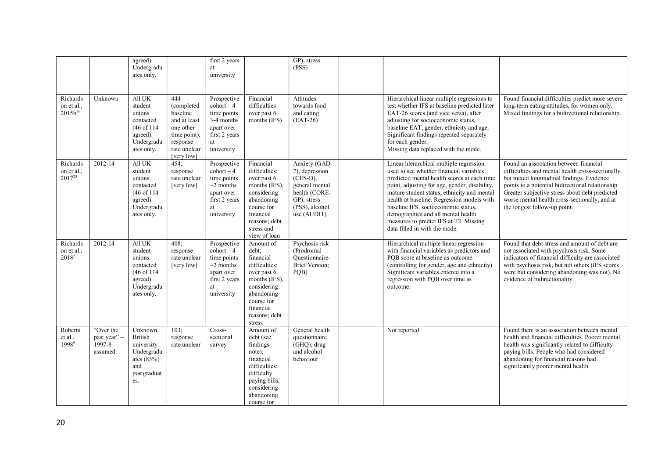|                                         |                                                  | agreed).<br>Undergradu<br>ates only.                                                                |                                                                                                                      | first 2 years<br>university                                                                                             |                                                                                                                                                                     | GP), stress<br>(PSS)                                                                                                             |                                                                                                                                                                                                                                                                                                                                                                                                                                         |                                                                                                                                                                                                                                                                                                                                  |
|-----------------------------------------|--------------------------------------------------|-----------------------------------------------------------------------------------------------------|----------------------------------------------------------------------------------------------------------------------|-------------------------------------------------------------------------------------------------------------------------|---------------------------------------------------------------------------------------------------------------------------------------------------------------------|----------------------------------------------------------------------------------------------------------------------------------|-----------------------------------------------------------------------------------------------------------------------------------------------------------------------------------------------------------------------------------------------------------------------------------------------------------------------------------------------------------------------------------------------------------------------------------------|----------------------------------------------------------------------------------------------------------------------------------------------------------------------------------------------------------------------------------------------------------------------------------------------------------------------------------|
| Richards<br>on et al.,<br>$2015b^{26}$  | Unknown                                          | All UK<br>student<br>unions<br>contacted<br>(46 of 114)<br>agreed).<br>Undergradu<br>ates only.     | 444<br>(completed<br>baseline<br>and at least<br>one other<br>time point);<br>response<br>rate unclear<br>[very low] | Prospective<br>$\text{cohort} - 4$<br>time points<br>3-4 months<br>apart over<br>first 2 years<br>at<br>university      | Financial<br>difficulties<br>over past 6<br>months (IFS)                                                                                                            | Attitudes<br>towards food<br>and eating<br>$(EAT-26)$                                                                            | Hierarchical linear multiple regressions to<br>test whether IFS at baseline predicted later<br>EAT-26 scores (and vice versa), after<br>adjusting for socioeconomic status,<br>baseline EAT, gender, ethnicity and age.<br>Significant findings repeated separately<br>for each gender.<br>Missing data replaced with the mode.                                                                                                         | Found financial difficulties predict more severe<br>long-term eating attitudes, for women only.<br>Mixed findings for a bidirectional relationship.                                                                                                                                                                              |
| Richards<br>on et al.,<br>$2017^{25}$   | 2012-14                                          | All UK<br>student<br>unions<br>contacted<br>(46 of 114)<br>agreed).<br>Undergradu<br>ates only.     | 454;<br>response<br>rate unclear<br>[very low]                                                                       | Prospective<br>$\text{cohort} - 4$<br>time points<br>$\sim$ 2 months<br>apart over<br>first 2 years<br>at<br>university | Financial<br>difficulties:<br>over past 6<br>months (IFS),<br>considering<br>abandoning<br>course for<br>financial<br>reasons; debt<br>stress and<br>view of loan   | Anxiety (GAD-<br>7), depression<br>$(CES-D),$<br>general mental<br>health (CORE-<br>GP), stress<br>(PSS), alcohol<br>use (AUDIT) | Linear hierarchical multiple regression<br>used to see whether financial variables<br>predicted mental health scores at each time<br>point, adjusting for age, gender, disability,<br>mature student status, ethnicity and mental<br>health at baseline. Regression models with<br>baseline IFS, socioeconomic status,<br>demographics and all mental health<br>measures to predict IFS at T2. Missing<br>data filled in with the mode. | Found an association between financial<br>difficulties and mental health cross-sectionally,<br>but mixed longitudinal findings. Evidence<br>points to a potential bidirectional relationship.<br>Greater subjective stress about debt predicted<br>worse mental health cross-sectionally, and at<br>the longest follow-up point. |
| Richards<br>on et al.,<br>$2018^{21}$   | 2012-14                                          | All UK<br>student<br>unions<br>contacted<br>(46 of 114)<br>agreed).<br>Undergradu<br>ates only.     | 408;<br>response<br>rate unclear<br>[very low]                                                                       | Prospective<br>$\text{cohort} - 4$<br>time points<br>$\sim$ 2 months<br>apart over<br>first 2 years<br>at<br>university | Amount of<br>debt;<br>financial<br>difficulties:<br>over past 6<br>months (IFS),<br>considering<br>abandoning<br>course for<br>financial<br>reasons; debt<br>stress | Psychosis risk<br>(Prodromal<br>Ouestionnaire-<br><b>Brief Version;</b><br>PQB)                                                  | Hierarchical multiple linear regression<br>with financial variables as predictors and<br>PQB score at baseline as outcome<br>(controlling for gender, age and ethnicity).<br>Significant variables entered into a<br>regression with PQB over time as<br>outcome.                                                                                                                                                                       | Found that debt stress and amount of debt are<br>not associated with psychosis risk. Some<br>indicators of financial difficulty are associated<br>with psychosis risk, but not others (IFS scores<br>were but considering abandoning was not). No<br>evidence of bidirectionality.                                               |
| Roberts<br>et al.,<br>1998 <sup>9</sup> | "Over the<br>past year'' -<br>1997-8<br>assumed. | Unknown<br><b>British</b><br>university.<br>Undergradu<br>ates $(83%)$<br>and<br>postgraduat<br>es. | 103:<br>response<br>rate unclear                                                                                     | Cross-<br>sectional<br>survey                                                                                           | Amount of<br>debt (see<br>findings<br>note);<br>financial<br>difficulties:<br>difficulty<br>paying bills,<br>considering<br>abandoning<br>course for                | General health<br>questionnaire<br>$(GHQ)$ ; drug<br>and alcohol<br>behaviour                                                    | Not reported                                                                                                                                                                                                                                                                                                                                                                                                                            | Found there is an association between mental<br>health and financial difficulties. Poorer mental<br>health was significantly related to difficulty<br>paying bills. People who had considered<br>abandoning for financial reasons had<br>significantly poorer mental health.                                                     |